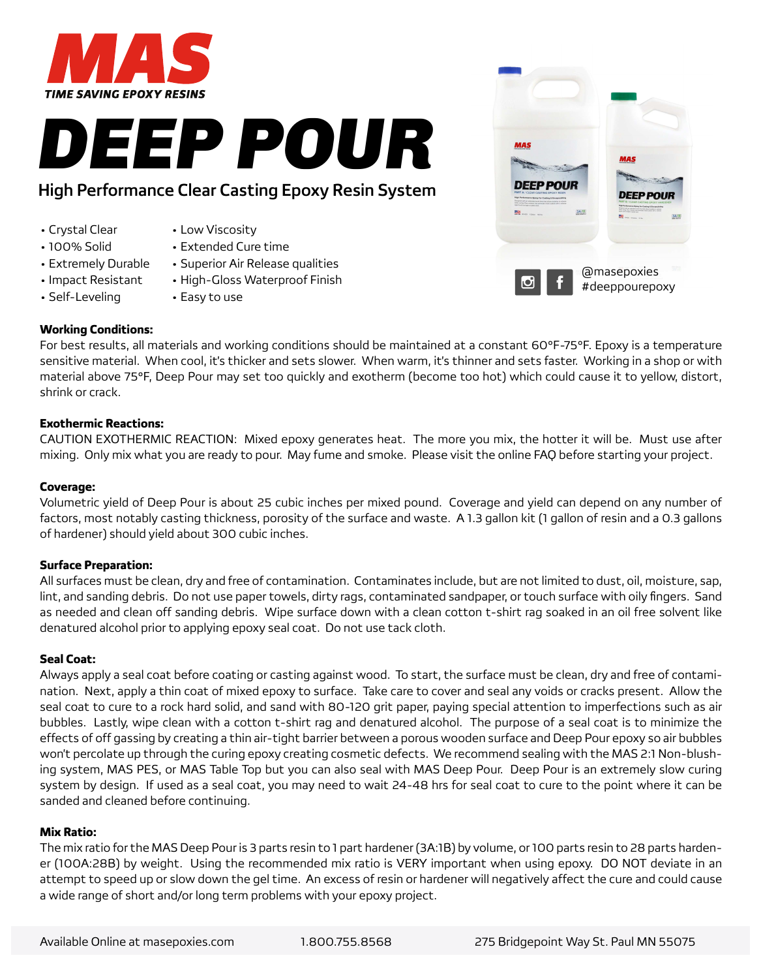

# High Performance Clear Casting Epoxy Resin System

- Crystal Clear
- 100% Solid
- Low Viscosity
- 
- Extremely Durable • Impact Resistant
- Extended Cure time
- Superior Air Release qualities
	- High-Gloss Waterproof Finish • Easy to use
- Self-Leveling

## **Working Conditions:**

For best results, all materials and working conditions should be maintained at a constant 60°F-75°F. Epoxy is a temperature sensitive material. When cool, it's thicker and sets slower. When warm, it's thinner and sets faster. Working in a shop or with material above 75°F, Deep Pour may set too quickly and exotherm (become too hot) which could cause it to yellow, distort, shrink or crack.

### **Exothermic Reactions:**

CAUTION EXOTHERMIC REACTION: Mixed epoxy generates heat. The more you mix, the hotter it will be. Must use after mixing. Only mix what you are ready to pour. May fume and smoke. Please visit the online FAQ before starting your project.

#### **Coverage:**

Volumetric yield of Deep Pour is about 25 cubic inches per mixed pound. Coverage and yield can depend on any number of factors, most notably casting thickness, porosity of the surface and waste. A 1.3 gallon kit (1 gallon of resin and a 0.3 gallons of hardener) should yield about 300 cubic inches.

### **Surface Preparation:**

All surfaces must be clean, dry and free of contamination. Contaminates include, but are not limited to dust, oil, moisture, sap, lint, and sanding debris. Do not use paper towels, dirty rags, contaminated sandpaper, or touch surface with oily fingers. Sand as needed and clean off sanding debris. Wipe surface down with a clean cotton t-shirt rag soaked in an oil free solvent like denatured alcohol prior to applying epoxy seal coat. Do not use tack cloth.

#### **Seal Coat:**

Always apply a seal coat before coating or casting against wood. To start, the surface must be clean, dry and free of contamination. Next, apply a thin coat of mixed epoxy to surface. Take care to cover and seal any voids or cracks present. Allow the seal coat to cure to a rock hard solid, and sand with 80-120 grit paper, paying special attention to imperfections such as air bubbles. Lastly, wipe clean with a cotton t-shirt rag and denatured alcohol. The purpose of a seal coat is to minimize the effects of off gassing by creating a thin air-tight barrier between a porous wooden surface and Deep Pour epoxy so air bubbles won't percolate up through the curing epoxy creating cosmetic defects. We recommend sealing with the MAS 2:1 Non-blushing system, MAS PES, or MAS Table Top but you can also seal with MAS Deep Pour. Deep Pour is an extremely slow curing system by design. If used as a seal coat, you may need to wait 24-48 hrs for seal coat to cure to the point where it can be sanded and cleaned before continuing.

#### **Mix Ratio:**

The mix ratio for the MAS Deep Pour is 3 parts resin to 1 part hardener (3A:1B) by volume, or 100 parts resin to 28 parts hardener (100A:28B) by weight. Using the recommended mix ratio is VERY important when using epoxy. DO NOT deviate in an attempt to speed up or slow down the gel time. An excess of resin or hardener will negatively affect the cure and could cause a wide range of short and/or long term problems with your epoxy project.